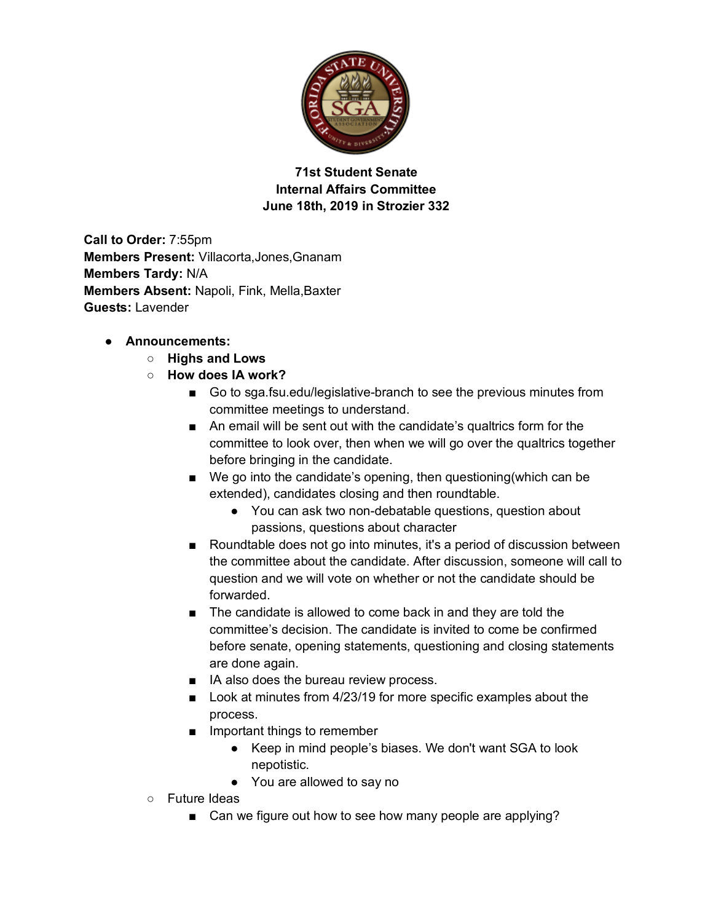

**71st Student Senate Internal Affairs Committee June 18th, 2019 in Strozier 332**

**Call to Order:** 7:55pm **Members Present:** Villacorta,Jones,Gnanam **Members Tardy:** N/A **Members Absent:** Napoli, Fink, Mella,Baxter **Guests:** Lavender

## ● **Announcements:**

- **Highs and Lows**
- **How does IA work?**
	- Go to sga.fsu.edu/legislative-branch to see the previous minutes from committee meetings to understand.
	- An email will be sent out with the candidate's qualtrics form for the committee to look over, then when we will go over the qualtrics together before bringing in the candidate.
	- We go into the candidate's opening, then questioning(which can be extended), candidates closing and then roundtable.
		- You can ask two non-debatable questions, question about passions, questions about character
	- Roundtable does not go into minutes, it's a period of discussion between the committee about the candidate. After discussion, someone will call to question and we will vote on whether or not the candidate should be forwarded.
	- The candidate is allowed to come back in and they are told the committee's decision. The candidate is invited to come be confirmed before senate, opening statements, questioning and closing statements are done again.
	- IA also does the bureau review process.
	- Look at minutes from 4/23/19 for more specific examples about the process.
	- Important things to remember
		- Keep in mind people's biases. We don't want SGA to look nepotistic.
		- You are allowed to say no
- Future Ideas
	- Can we figure out how to see how many people are applying?